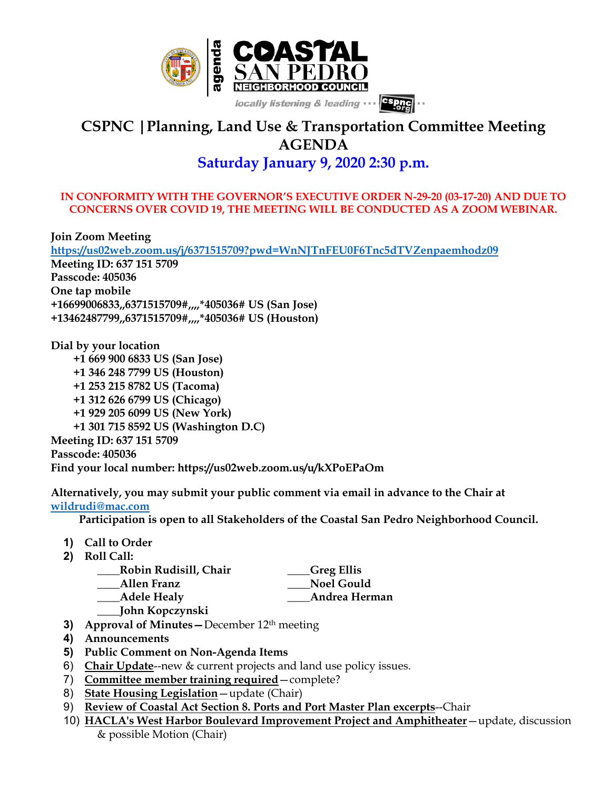

## **CSPNC |Planning, Land Use & Transportation Committee Meeting AGENDA Saturday January 9, 2020 2:30 p.m.**

## **IN CONFORMITY WITH THE GOVERNOR'S EXECUTIVE ORDER N-29-20 (03-17-20) AND DUE TO CONCERNS OVER COVID 19, THE MEETING WILL BE CONDUCTED AS A ZOOM WEBINAR.**

**Join Zoom Meeting https://us02web.zoom.us/j/6371515709?pwd=WnNJTnFEU0F6Tnc5dTVZenpaemhodz09 Meeting ID: 637 151 5709 Passcode: 405036 One tap mobile +16699006833,,6371515709#,,,,\*405036# US (San Jose) +13462487799,,6371515709#,,,,\*405036# US (Houston)**

**Dial by your location +1 669 900 6833 US (San Jose) +1 346 248 7799 US (Houston) +1 253 215 8782 US (Tacoma) +1 312 626 6799 US (Chicago) +1 929 205 6099 US (New York) +1 301 715 8592 US (Washington D.C) Meeting ID: 637 151 5709 Passcode: 405036 Find your local number: https://us02web.zoom.us/u/kXPoEPaOm**

**Alternatively, you may submit your public comment via email in advance to the Chair at wildrudi@mac.com**

 **Participation is open to all Stakeholders of the Coastal San Pedro Neighborhood Council.**

- **1) Call to Order**
- **2) Roll Call:**

| Robin Rudisill, Chair | Greg Ellis        |
|-----------------------|-------------------|
| <b>Allen Franz</b>    | <b>Noel Gould</b> |
| <b>Adele Healy</b>    | Andrea Herman     |
| John Kopczynski       |                   |

- **3) Approval of Minutes—**December 12th meeting
- **4) Announcements**
- **5) Public Comment on Non-Agenda Items**
- 6) **Chair Update**--new & current projects and land use policy issues.
- 7) **Committee member training required**—complete?
- 8) **State Housing Legislation**—update (Chair)
- 9) **Review of Coastal Act Section 8. Ports and Port Master Plan excerpts**--Chair
- 10) **HACLA's West Harbor Boulevard Improvement Project and Amphitheater**—update, discussion & possible Motion (Chair)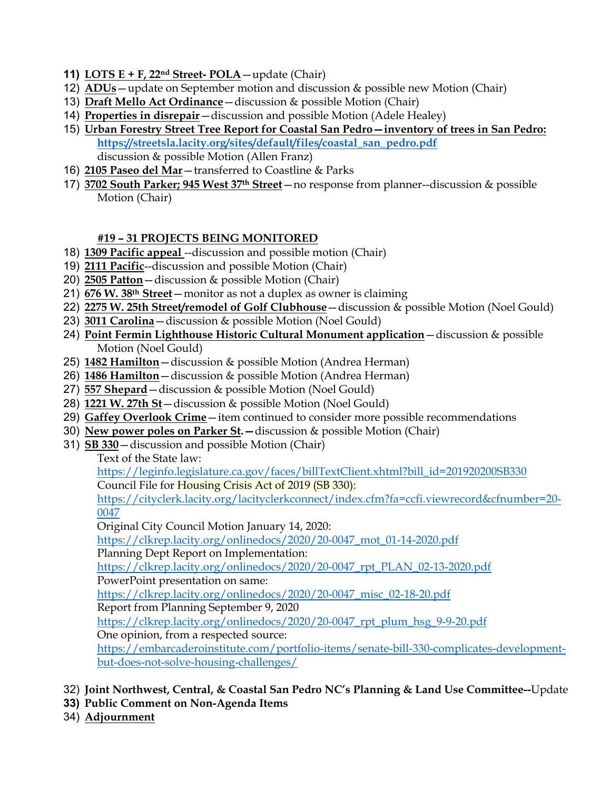- **11) LOTS E + F, 22nd Street- POLA**—update (Chair)
- 12) **ADUs**—update on September motion and discussion & possible new Motion (Chair)
- 13) **Draft Mello Act Ordinance**—discussion & possible Motion (Chair)
- 14) **Properties in disrepair**—discussion and possible Motion (Adele Healey)
- 15) **Urban Forestry Street Tree Report for Coastal San Pedro—inventory of trees in San Pedro: https://streetsla.lacity.org/sites/default/files/coastal\_san\_pedro.pdf** discussion & possible Motion (Allen Franz)
- 16) **2105 Paseo del Mar**—transferred to Coastline & Parks
- 17) **3702 South Parker; 945 West 37th Street**—no response from planner--discussion & possible Motion (Chair)

## **#19 – 31 PROJECTS BEING MONITORED**

- 18) **1309 Pacific appeal** --discussion and possible motion (Chair)
- 19) **2111 Pacific**--discussion and possible Motion (Chair)
- 20) **2505 Patton**—discussion & possible Motion (Chair)
- 21) **676 W. 38th Street**—monitor as not a duplex as owner is claiming
- 22) **2275 W. 25th Street/remodel of Golf Clubhouse**—discussion & possible Motion (Noel Gould)
- 23) **3011 Carolina**—discussion & possible Motion (Noel Gould)
- 24) **Point Fermin Lighthouse Historic Cultural Monument application**—discussion & possible Motion (Noel Gould)
- 25) **1482 Hamilton**—discussion & possible Motion (Andrea Herman)
- 26) **1486 Hamilton**—discussion & possible Motion (Andrea Herman)
- 27) **557 Shepard**—discussion & possible Motion (Noel Gould)
- 28) **1221 W. 27th St**—discussion & possible Motion (Noel Gould)
- 29) **Gaffey Overlook Crime**—item continued to consider more possible recommendations
- 30) **New power poles on Parker St.—**discussion & possible Motion (Chair)
- 31) **SB 330**—discussion and possible Motion (Chair)

Text of the State law:

https://leginfo.legislature.ca.gov/faces/billTextClient.xhtml?bill\_id=201920200SB330

Council File for Housing Crisis Act of 2019 (SB 330):

https://cityclerk.lacity.org/lacityclerkconnect/index.cfm?fa=ccfi.viewrecord&cfnumber=20- 0047

Original City Council Motion January 14, 2020:

https://clkrep.lacity.org/onlinedocs/2020/20-0047\_mot\_01-14-2020.pdf

Planning Dept Report on Implementation:

https://clkrep.lacity.org/onlinedocs/2020/20-0047\_rpt\_PLAN\_02-13-2020.pdf

PowerPoint presentation on same:

https://clkrep.lacity.org/onlinedocs/2020/20-0047\_misc\_02-18-20.pdf

Report from Planning September 9, 2020

https://clkrep.lacity.org/onlinedocs/2020/20-0047\_rpt\_plum\_hsg\_9-9-20.pdf

One opinion, from a respected source:

https://embarcaderoinstitute.com/portfolio-items/senate-bill-330-complicates-developmentbut-does-not-solve-housing-challenges/

- 32) **Joint Northwest, Central, & Coastal San Pedro NC's Planning & Land Use Committee--**Update
- **33) Public Comment on Non-Agenda Items**
- 34) **Adjournment**